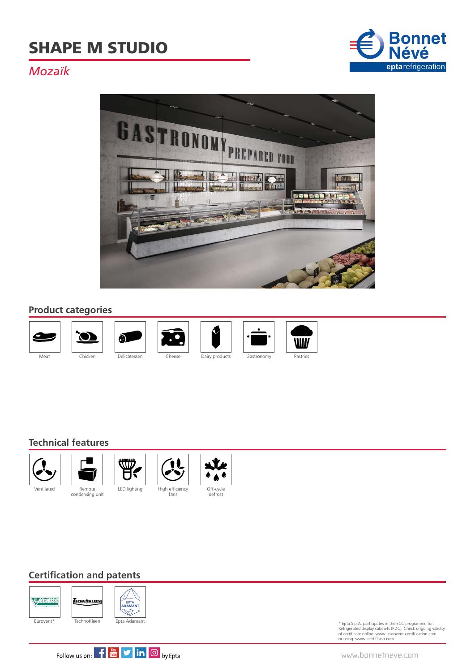# SHAPE M STUDIO



# *Mozaïk*



#### **Product categories**







 $\ddot{\cdot}$ 

fans





#### **Technical features**



condensing unit





### **Certification and patents**



\* Epta S.p.A. participates in the ECC programme for: Refrigerated display cabinets (RDC); Check ongoing validity of certificate online: www .eurovent-certifi cation.com or using: www .certifl ash.com



www.bonnetneve.com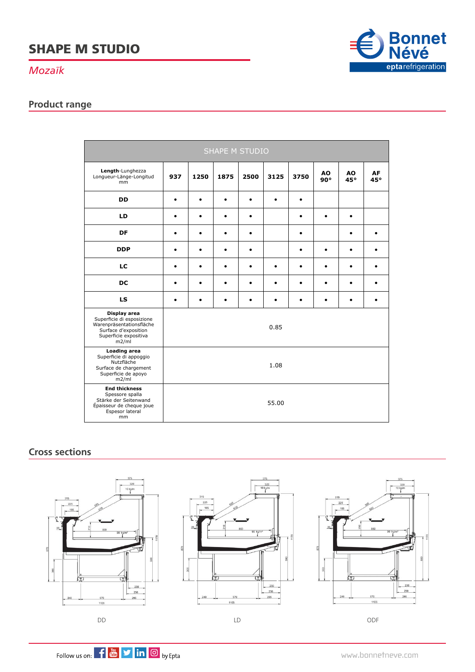# SHAPE M STUDIO

#### *Mozaïk*

## **Product range**



#### **Cross sections**



 $\frac{320}{10 \text{ kg/m}}$  $\frac{6}{2}$  $230$ 250 570 295 1105



DD LD ODF